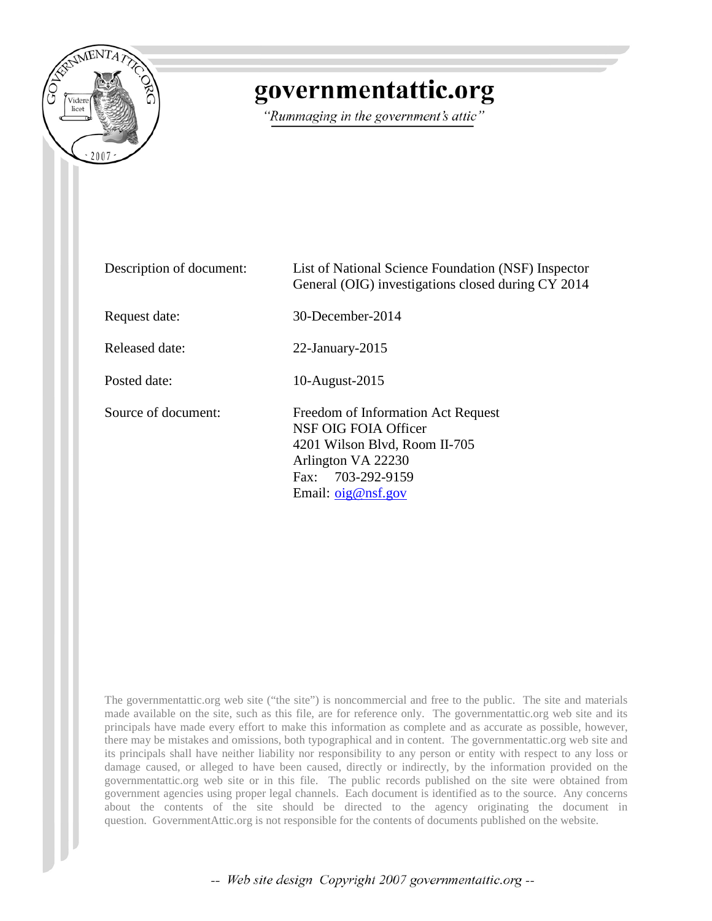

## governmentattic.org

"Rummaging in the government's attic"

| Description of document: | List of National Science Foundation (NSF) Inspector<br>General (OIG) investigations closed during CY 2014                                                            |
|--------------------------|----------------------------------------------------------------------------------------------------------------------------------------------------------------------|
| Request date:            | 30-December-2014                                                                                                                                                     |
| Released date:           | $22$ -January- $2015$                                                                                                                                                |
| Posted date:             | 10-August-2015                                                                                                                                                       |
| Source of document:      | Freedom of Information Act Request<br>NSF OIG FOIA Officer<br>4201 Wilson Blvd, Room II-705<br>Arlington VA 22230<br>Fax: 703-292-9159<br>Email: $\sigma$ ig@nsf.gov |

The governmentattic.org web site ("the site") is noncommercial and free to the public. The site and materials made available on the site, such as this file, are for reference only. The governmentattic.org web site and its principals have made every effort to make this information as complete and as accurate as possible, however, there may be mistakes and omissions, both typographical and in content. The governmentattic.org web site and its principals shall have neither liability nor responsibility to any person or entity with respect to any loss or damage caused, or alleged to have been caused, directly or indirectly, by the information provided on the governmentattic.org web site or in this file. The public records published on the site were obtained from government agencies using proper legal channels. Each document is identified as to the source. Any concerns about the contents of the site should be directed to the agency originating the document in question. GovernmentAttic.org is not responsible for the contents of documents published on the website.

-- Web site design Copyright 2007 governmentattic.org --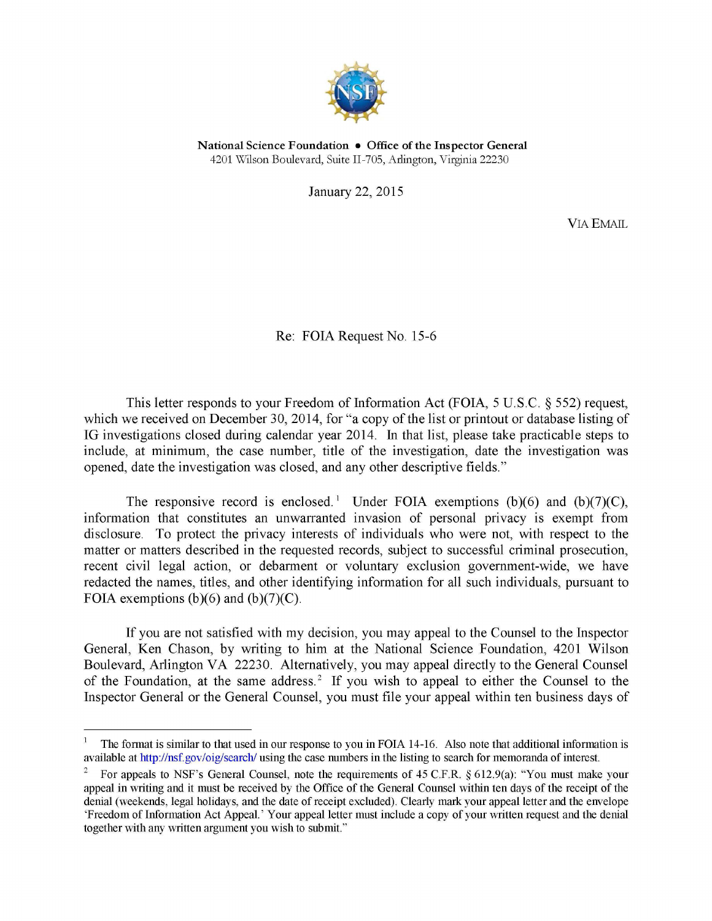

National Science Foundation • Office of the Inspector General 4201 Wilson Boulevard, Suite II-705, Arlington, Virginia 22230

January 22, 2015

VIA EMAIL

Re: FOIA Request No. 15-6

This letter responds to your Freedom of Information Act (FOIA, 5 U.S.C. § 552) request, which we received on December 30, 2014, for "a copy of the list or printout or database listing of IG investigations closed during calendar year 2014. In that list, please take practicable steps to include, at minimum, the case number, title of the investigation, date the investigation was opened, date the investigation was closed, and any other descriptive fields."

The responsive record is enclosed.<sup>[1](#page-1-0)</sup> Under FOIA exemptions (b)(6) and (b)(7)(C), information that constitutes an unwarranted invasion of personal privacy is exempt from disclosure. To protect the privacy interests of individuals who were not, with respect to the matter or matters described in the requested records, subject to successful criminal prosecution, recent civil legal action, or debarment or voluntary exclusion government-wide, we have redacted the names, titles, and other identifying information for all such individuals, pursuant to FOIA exemptions  $(b)(6)$  and  $(b)(7)(C)$ .

If you are not satisfied with my decision, you may appeal to the Counsel to the Inspector General, Ken Chason, by writing to him at the National Science Foundation, 4201 Wilson Boulevard, Arlington VA 22230. Alternatively, you may appeal directly to the General Counsel of the Foundation, at the same address.<sup>2</sup> If you wish to appeal to either the Counsel to the Inspector General or the General Counsel, you must file your appeal within ten business days of

<span id="page-1-0"></span>The format is similar to that used in our response to you in FOIA 14-16. Also note that additional information is available at [http://nsf.gov/oig/search/ u](http://nsf.gov/oig/search/)sing the case numbers in the listing to search for memoranda of interest.

<span id="page-1-1"></span><sup>2</sup> For appeals to NSF's General Counsel, note the requirements of 45 C.F.R. § 612.9(a): "You must make your appeal in writing and it must be received by the Office of the General Counsel within ten days of the receipt of the denial (weekends, legal holidays, and the date of receipt excluded). Clearly mark your appeal letter and the envelope 'Freedom of Information Act Appeal.' Your appeal letter must include a copy of your written request and the denial together with any written argument you wish to submit."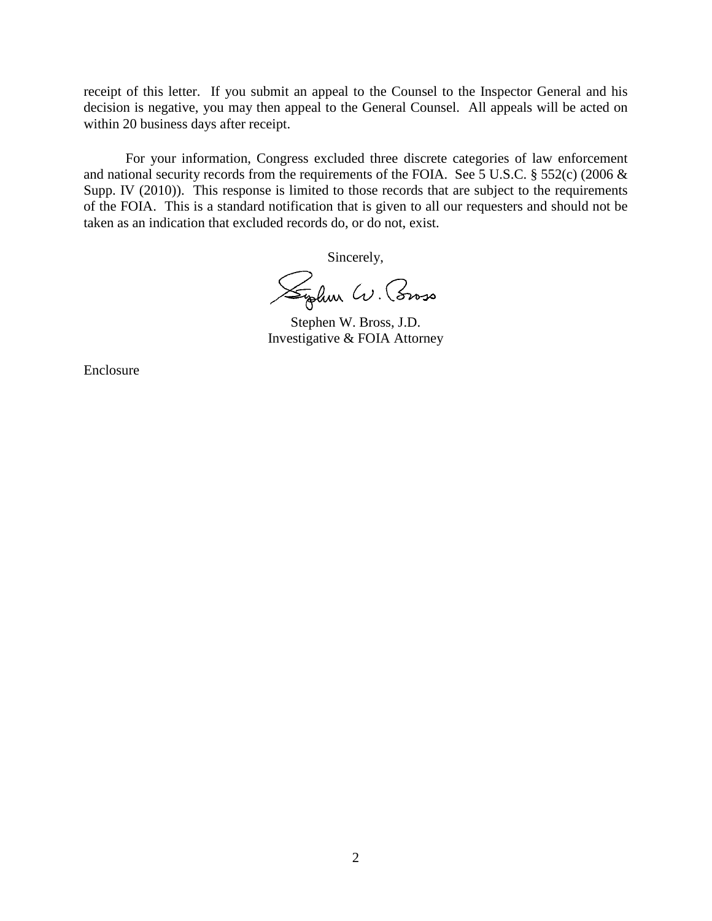receipt of this letter. If you submit an appeal to the Counsel to the Inspector General and his decision is negative, you may then appeal to the General Counsel. All appeals will be acted on within 20 business days after receipt.

For your information, Congress excluded three discrete categories of law enforcement and national security records from the requirements of the FOIA. See 5 U.S.C. § 552(c) (2006 & Supp. IV (2010)). This response is limited to those records that are subject to the requirements of the FOIA. This is a standard notification that is given to all our requesters and should not be taken as an indication that excluded records do, or do not, exist.

Sincerely,

Syden W. Coroso

Stephen W. Bross, J.D. Investigative & FOIA Attorney

Enclosure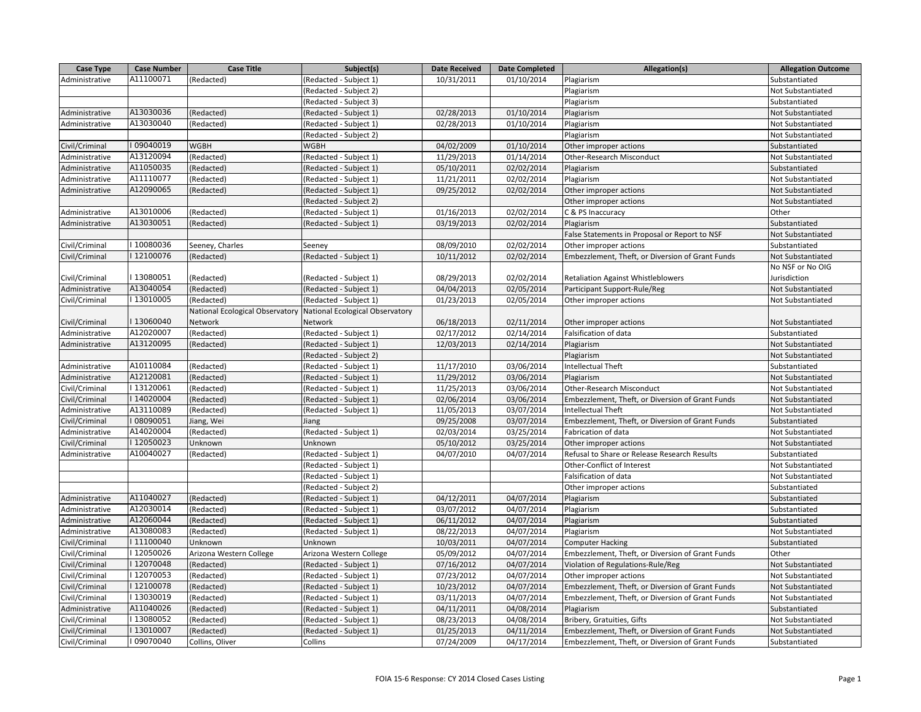| Case Type      | <b>Case Number</b> | <b>Case Title</b>               | Subject(s)                      | <b>Date Received</b> | <b>Date Completed</b> | Allegation(s)                                    | <b>Allegation Outcome</b> |
|----------------|--------------------|---------------------------------|---------------------------------|----------------------|-----------------------|--------------------------------------------------|---------------------------|
| Administrative | A11100071          | (Redacted)                      | (Redacted - Subject 1)          | 10/31/2011           | 01/10/2014            | Plagiarism                                       | Substantiated             |
|                |                    |                                 | (Redacted - Subject 2)          |                      |                       | Plagiarism                                       | Not Substantiated         |
|                |                    |                                 | (Redacted - Subject 3)          |                      |                       | Plagiarism                                       | Substantiated             |
| Administrative | A13030036          | (Redacted)                      | Redacted - Subject 1)           | 02/28/2013           | 01/10/2014            | Plagiarism                                       | Not Substantiated         |
| Administrative | A13030040          | (Redacted)                      | Redacted - Subject 1)           | 02/28/2013           | 01/10/2014            | Plagiarism                                       | Not Substantiated         |
|                |                    |                                 | (Redacted - Subject 2)          |                      |                       | Plagiarism                                       | Not Substantiated         |
| Civil/Criminal | I09040019          | <b>WGBH</b>                     | <b>WGBH</b>                     | 04/02/2009           | 01/10/2014            | Other improper actions                           | Substantiated             |
| Administrative | A13120094          | (Redacted)                      | (Redacted - Subject 1)          | 11/29/2013           | 01/14/2014            | Other-Research Misconduct                        | Not Substantiated         |
| Administrative | A11050035          | (Redacted)                      | (Redacted - Subject 1)          | 05/10/2011           | 02/02/2014            | Plagiarism                                       | Substantiated             |
| Administrative | A11110077          | (Redacted)                      | Redacted - Subject 1)           | 11/21/2011           | 02/02/2014            | Plagiarism                                       | Not Substantiated         |
| Administrative | A12090065          | (Redacted)                      | (Redacted - Subject 1)          | 09/25/2012           | 02/02/2014            | Other improper actions                           | Not Substantiated         |
|                |                    |                                 | (Redacted - Subject 2)          |                      |                       | Other improper actions                           | Not Substantiated         |
| Administrative | A13010006          | (Redacted)                      | (Redacted - Subject 1)          | 01/16/2013           | 02/02/2014            | C & PS Inaccuracy                                | Other                     |
| Administrative | A13030051          | (Redacted)                      | (Redacted - Subject 1)          | 03/19/2013           | 02/02/2014            | Plagiarism                                       | Substantiated             |
|                |                    |                                 |                                 |                      |                       | False Statements in Proposal or Report to NSF    | Not Substantiated         |
| Civil/Criminal | I10080036          | Seeney, Charles                 | Seeney                          | 08/09/2010           | 02/02/2014            | Other improper actions                           | Substantiated             |
| Civil/Criminal | I12100076          | (Redacted)                      | (Redacted - Subject 1)          | 10/11/2012           | 02/02/2014            | Embezzlement, Theft, or Diversion of Grant Funds | Not Substantiated         |
|                |                    |                                 |                                 |                      |                       |                                                  | No NSF or No OIG          |
| Civil/Criminal | I13080051          | (Redacted)                      | (Redacted - Subject 1)          | 08/29/2013           | 02/02/2014            | <b>Retaliation Against Whistleblowers</b>        | Jurisdiction              |
| Administrative | A13040054          | (Redacted)                      | Redacted - Subject 1)           | 04/04/2013           | 02/05/2014            | Participant Support-Rule/Reg                     | Not Substantiated         |
| Civil/Criminal | I13010005          | (Redacted)                      | (Redacted - Subject 1)          | 01/23/2013           | 02/05/2014            | Other improper actions                           | Not Substantiated         |
|                |                    | National Ecological Observatory | National Ecological Observatory |                      |                       |                                                  |                           |
| Civil/Criminal | I13060040          | Network                         | Network                         | 06/18/2013           | 02/11/2014            | Other improper actions                           | Not Substantiated         |
| Administrative | A12020007          | (Redacted)                      | (Redacted - Subject 1)          | 02/17/2012           | 02/14/2014            | Falsification of data                            | Substantiated             |
| Administrative | A13120095          | (Redacted)                      | (Redacted - Subject 1)          | 12/03/2013           | 02/14/2014            | Plagiarism                                       | Not Substantiated         |
|                |                    |                                 | Redacted - Subject 2)           |                      |                       | Plagiarism                                       | Not Substantiated         |
| Administrative | A10110084          | (Redacted)                      | (Redacted - Subject 1)          | 11/17/2010           | 03/06/2014            | <b>Intellectual Theft</b>                        | Substantiated             |
| Administrative | A12120081          | (Redacted)                      | (Redacted - Subject 1)          | 11/29/2012           | 03/06/2014            | Plagiarism                                       | Not Substantiated         |
| Civil/Criminal | I13120061          | (Redacted)                      | (Redacted - Subject 1)          | 11/25/2013           | 03/06/2014            | Other-Research Misconduct                        | Not Substantiated         |
| Civil/Criminal | I14020004          | (Redacted)                      | (Redacted - Subject 1)          | 02/06/2014           | 03/06/2014            | Embezzlement, Theft, or Diversion of Grant Funds | Not Substantiated         |
| Administrative | A13110089          | (Redacted)                      | (Redacted - Subject 1)          | 11/05/2013           | 03/07/2014            | <b>Intellectual Theft</b>                        | Not Substantiated         |
| Civil/Criminal | I08090051          | Jiang, Wei                      | Jiang                           | 09/25/2008           | 03/07/2014            | Embezzlement, Theft, or Diversion of Grant Funds | Substantiated             |
| Administrative | A14020004          | (Redacted)                      | (Redacted - Subject 1)          | 02/03/2014           | 03/25/2014            | Fabrication of data                              | Not Substantiated         |
| Civil/Criminal | I12050023          | Unknown                         | Unknown                         | 05/10/2012           | 03/25/2014            | Other improper actions                           | Not Substantiated         |
| Administrative | A10040027          | (Redacted)                      | (Redacted - Subject 1)          | 04/07/2010           | 04/07/2014            | Refusal to Share or Release Research Results     | Substantiated             |
|                |                    |                                 | (Redacted - Subject 1)          |                      |                       | Other-Conflict of Interest                       | Not Substantiated         |
|                |                    |                                 | Redacted - Subject 1)           |                      |                       | Falsification of data                            | Not Substantiated         |
|                |                    |                                 | (Redacted - Subject 2)          |                      |                       | Other improper actions                           | Substantiated             |
| Administrative | A11040027          | (Redacted)                      | (Redacted - Subject 1)          | 04/12/2011           | 04/07/2014            | Plagiarism                                       | Substantiated             |
| Administrative | A12030014          | (Redacted)                      | Redacted - Subject 1)           | 03/07/2012           | 04/07/2014            | Plagiarism                                       | Substantiated             |
| Administrative | A12060044          | (Redacted)                      | (Redacted - Subject 1)          | 06/11/2012           | 04/07/2014            | Plagiarism                                       | Substantiated             |
| Administrative | A13080083          | (Redacted)                      | (Redacted - Subject 1)          | 08/22/2013           | 04/07/2014            | Plagiarism                                       | Not Substantiated         |
| Civil/Criminal | I11100040          | Unknown                         | Unknown                         | 10/03/2011           | 04/07/2014            | <b>Computer Hacking</b>                          | Substantiated             |
| Civil/Criminal | I12050026          | Arizona Western College         | Arizona Western College         | 05/09/2012           | 04/07/2014            | Embezzlement, Theft, or Diversion of Grant Funds | Other                     |
| Civil/Criminal | I12070048          | (Redacted)                      | (Redacted - Subject 1)          | 07/16/2012           | 04/07/2014            | Violation of Regulations-Rule/Reg                | Not Substantiated         |
| Civil/Criminal | I12070053          | (Redacted)                      | (Redacted - Subject 1)          | 07/23/2012           | 04/07/2014            | Other improper actions                           | Not Substantiated         |
| Civil/Criminal | I12100078          | (Redacted)                      | Redacted - Subject 1)           | 10/23/2012           | 04/07/2014            | Embezzlement, Theft, or Diversion of Grant Funds | Not Substantiated         |
| Civil/Criminal | I13030019          | (Redacted)                      | Redacted - Subject 1)           | 03/11/2013           | 04/07/2014            | Embezzlement, Theft, or Diversion of Grant Funds | Not Substantiated         |
| Administrative | A11040026          | (Redacted)                      | (Redacted - Subject 1)          | 04/11/2011           | 04/08/2014            | Plagiarism                                       | Substantiated             |
| Civil/Criminal | I13080052          | (Redacted)                      | (Redacted - Subject 1)          | 08/23/2013           | 04/08/2014            | Bribery, Gratuities, Gifts                       | Not Substantiated         |
| Civil/Criminal | I13010007          | (Redacted)                      | (Redacted - Subject 1)          | 01/25/2013           | 04/11/2014            | Embezzlement, Theft, or Diversion of Grant Funds | Not Substantiated         |
| Civil/Criminal | I09070040          | Collins, Oliver                 | Collins                         | 07/24/2009           | 04/17/2014            | Embezzlement, Theft, or Diversion of Grant Funds | Substantiated             |
|                |                    |                                 |                                 |                      |                       |                                                  |                           |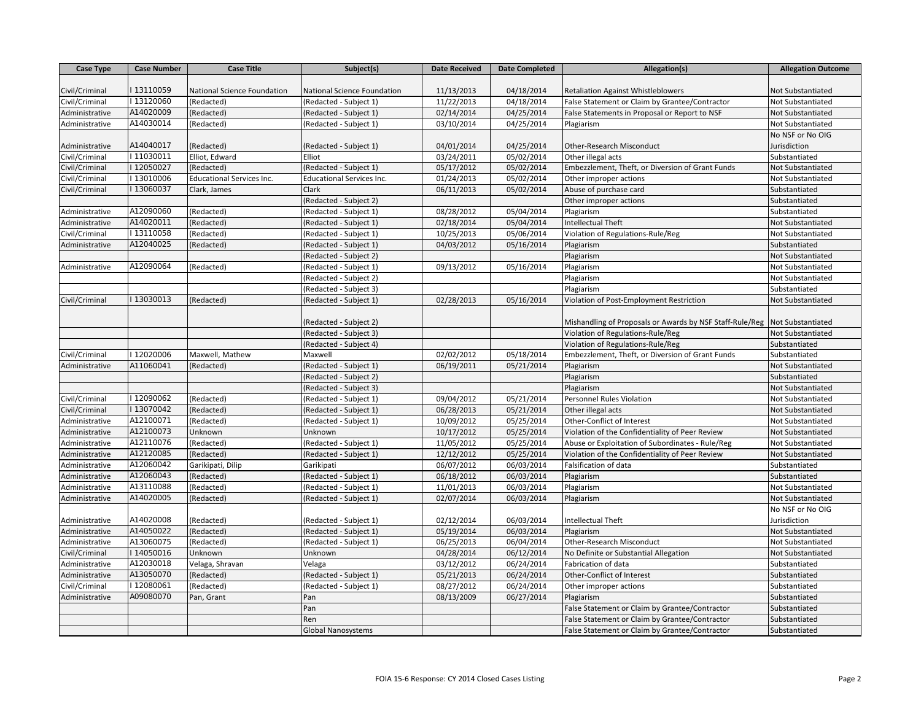| <b>Case Type</b> | <b>Case Number</b> | <b>Case Title</b>                | Subject(s)                       | <b>Date Received</b> | <b>Date Completed</b> | Allegation(s)                                            | <b>Allegation Outcome</b> |
|------------------|--------------------|----------------------------------|----------------------------------|----------------------|-----------------------|----------------------------------------------------------|---------------------------|
|                  |                    |                                  |                                  |                      |                       |                                                          |                           |
| Civil/Criminal   | I13110059          | National Science Foundation      | National Science Foundation      | 11/13/2013           | 04/18/2014            | <b>Retaliation Against Whistleblowers</b>                | Not Substantiated         |
| Civil/Criminal   | I13120060          | (Redacted)                       | (Redacted - Subject 1)           | 11/22/2013           | 04/18/2014            | False Statement or Claim by Grantee/Contractor           | Not Substantiated         |
| Administrative   | A14020009          | (Redacted)                       | (Redacted - Subject 1)           | 02/14/2014           | 04/25/2014            | False Statements in Proposal or Report to NSF            | Not Substantiated         |
| Administrative   | A14030014          | (Redacted)                       | (Redacted - Subject 1)           | 03/10/2014           | 04/25/2014            | Plagiarism                                               | Not Substantiated         |
|                  |                    |                                  |                                  |                      |                       |                                                          | No NSF or No OIG          |
| Administrative   | A14040017          | Redacted)                        | (Redacted - Subject 1)           | 04/01/2014           | 04/25/2014            | <b>Other-Research Misconduct</b>                         | Jurisdiction              |
| Civil/Criminal   | I11030011          | Elliot, Edward                   | Elliot                           | 03/24/2011           | 05/02/2014            | Other illegal acts                                       | Substantiated             |
| Civil/Criminal   | I12050027          | (Redacted)                       | (Redacted - Subject 1)           | 05/17/2012           | 05/02/2014            | Embezzlement, Theft, or Diversion of Grant Funds         | Not Substantiated         |
| Civil/Criminal   | I13010006          | <b>Educational Services Inc.</b> | <b>Educational Services Inc.</b> | 01/24/2013           | 05/02/2014            | Other improper actions                                   | Not Substantiated         |
| Civil/Criminal   | I13060037          | Clark, James                     | Clark                            | 06/11/2013           | 05/02/2014            | Abuse of purchase card                                   | Substantiated             |
|                  |                    |                                  | (Redacted - Subject 2)           |                      |                       | Other improper actions                                   | Substantiated             |
| Administrative   | A12090060          | (Redacted)                       | (Redacted - Subject 1)           | 08/28/2012           | 05/04/2014            | Plagiarism                                               | Substantiated             |
| Administrative   | A14020011          | Redacted)                        | (Redacted - Subject 1)           | 02/18/2014           | 05/04/2014            | Intellectual Theft                                       | Not Substantiated         |
| Civil/Criminal   | I13110058          | (Redacted)                       | (Redacted - Subject 1)           | 10/25/2013           | 05/06/2014            | Violation of Regulations-Rule/Reg                        | Not Substantiated         |
| Administrative   | A12040025          | (Redacted)                       | (Redacted - Subject 1)           | 04/03/2012           | 05/16/2014            | Plagiarism                                               | Substantiated             |
|                  |                    |                                  | (Redacted - Subject 2)           |                      |                       | Plagiarism                                               | Not Substantiated         |
| Administrative   | A12090064          | (Redacted)                       | (Redacted - Subject 1)           | 09/13/2012           | 05/16/2014            | Plagiarism                                               | Not Substantiated         |
|                  |                    |                                  | (Redacted - Subject 2)           |                      |                       | Plagiarism                                               | Not Substantiated         |
|                  |                    |                                  | (Redacted - Subject 3)           |                      |                       | Plagiarism                                               | Substantiated             |
| Civil/Criminal   | I13030013          | (Redacted)                       | (Redacted - Subject 1)           | 02/28/2013           | 05/16/2014            | Violation of Post-Employment Restriction                 | Not Substantiated         |
|                  |                    |                                  | (Redacted - Subject 2)           |                      |                       | Mishandling of Proposals or Awards by NSF Staff-Rule/Reg | Not Substantiated         |
|                  |                    |                                  | (Redacted - Subject 3)           |                      |                       | Violation of Regulations-Rule/Reg                        | Not Substantiated         |
|                  |                    |                                  | (Redacted - Subject 4)           |                      |                       | Violation of Regulations-Rule/Reg                        | Substantiated             |
| Civil/Criminal   | I12020006          | Maxwell, Mathew                  | Maxwell                          | 02/02/2012           | 05/18/2014            | Embezzlement, Theft, or Diversion of Grant Funds         | Substantiated             |
| Administrative   | A11060041          | (Redacted)                       | (Redacted - Subject 1)           | 06/19/2011           | 05/21/2014            | Plagiarism                                               | Not Substantiated         |
|                  |                    |                                  | (Redacted - Subject 2)           |                      |                       | Plagiarism                                               | Substantiated             |
|                  |                    |                                  | (Redacted - Subject 3)           |                      |                       | Plagiarism                                               | Not Substantiated         |
| Civil/Criminal   | I12090062          | (Redacted)                       | (Redacted - Subject 1)           | 09/04/2012           | 05/21/2014            | Personnel Rules Violation                                | Not Substantiated         |
| Civil/Criminal   | I13070042          | (Redacted)                       | (Redacted - Subject 1)           | 06/28/2013           | 05/21/2014            | Other illegal acts                                       | Not Substantiated         |
| Administrative   | A12100071          | (Redacted)                       | (Redacted - Subject 1)           | 10/09/2012           | 05/25/2014            | Other-Conflict of Interest                               | Not Substantiated         |
| Administrative   | A12100073          | Unknown                          | Unknown                          | 10/17/2012           | 05/25/2014            | Violation of the Confidentiality of Peer Review          | Not Substantiated         |
| Administrative   | A12110076          | (Redacted)                       | (Redacted - Subject 1)           | 11/05/2012           | 05/25/2014            | Abuse or Exploitation of Subordinates - Rule/Reg         | Not Substantiated         |
| Administrative   | A12120085          | (Redacted)                       | (Redacted - Subject 1)           | 12/12/2012           | 05/25/2014            | Violation of the Confidentiality of Peer Review          | Not Substantiated         |
| Administrative   | A12060042          | Garikipati, Dilip                | Garikipati                       | 06/07/2012           | 06/03/2014            | Falsification of data                                    | Substantiated             |
| Administrative   | A12060043          | Redacted)                        | (Redacted - Subject 1)           | 06/18/2012           | 06/03/2014            | Plagiarism                                               | Substantiated             |
| Administrative   | A13110088          | (Redacted)                       | (Redacted - Subject 1)           | 11/01/2013           | 06/03/2014            | Plagiarism                                               | Not Substantiated         |
| Administrative   | A14020005          | (Redacted)                       | (Redacted - Subject 1)           | 02/07/2014           | 06/03/2014            | Plagiarism                                               | Not Substantiated         |
|                  |                    |                                  |                                  |                      |                       |                                                          | No NSF or No OIG          |
| Administrative   | A14020008          | (Redacted)                       | (Redacted - Subject 1)           | 02/12/2014           | 06/03/2014            | <b>Intellectual Theft</b>                                | Jurisdiction              |
| Administrative   | A14050022          | (Redacted)                       | (Redacted - Subject 1)           | 05/19/2014           | 06/03/2014            | Plagiarism                                               | Not Substantiated         |
| Administrative   | A13060075          | (Redacted)                       | (Redacted - Subject 1)           | 06/25/2013           | 06/04/2014            | Other-Research Misconduct                                | Not Substantiated         |
| Civil/Criminal   | I14050016          | Unknown                          | Unknown                          | 04/28/2014           | 06/12/2014            | No Definite or Substantial Allegation                    | Not Substantiated         |
| Administrative   | A12030018          | Velaga, Shravan                  | Velaga                           | 03/12/2012           | 06/24/2014            | Fabrication of data                                      | Substantiated             |
| Administrative   | A13050070          | (Redacted)                       | (Redacted - Subject 1)           | 05/21/2013           | 06/24/2014            | Other-Conflict of Interest                               | Substantiated             |
| Civil/Criminal   | I12080061          | (Redacted)                       | (Redacted - Subject 1)           | 08/27/2012           | 06/24/2014            | Other improper actions                                   | Substantiated             |
| Administrative   | A09080070          | Pan, Grant                       | Pan                              | 08/13/2009           | 06/27/2014            | Plagiarism                                               | Substantiated             |
|                  |                    |                                  | Pan                              |                      |                       | False Statement or Claim by Grantee/Contractor           | Substantiated             |
|                  |                    |                                  | Ren                              |                      |                       | False Statement or Claim by Grantee/Contractor           | Substantiated             |
|                  |                    |                                  | <b>Global Nanosystems</b>        |                      |                       | False Statement or Claim by Grantee/Contractor           | Substantiated             |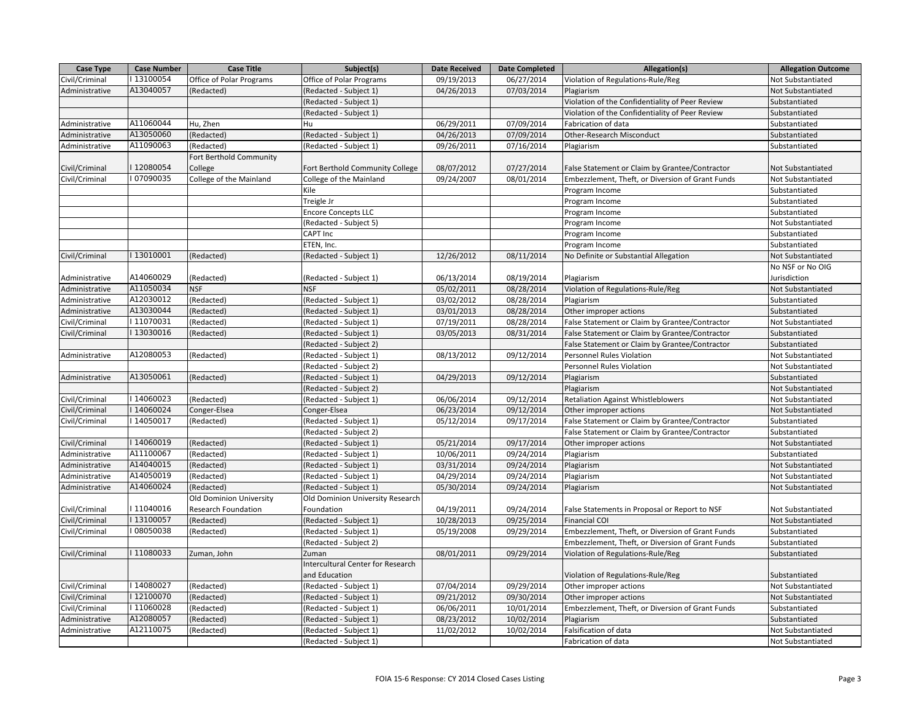| Case Type      | <b>Case Number</b> | <b>Case Title</b>        | Subject(s)                        | <b>Date Received</b> | <b>Date Completed</b> | Allegation(s)                                    | <b>Allegation Outcome</b> |
|----------------|--------------------|--------------------------|-----------------------------------|----------------------|-----------------------|--------------------------------------------------|---------------------------|
| Civil/Criminal | I13100054          | Office of Polar Programs | Office of Polar Programs          | 09/19/2013           | 06/27/2014            | Violation of Regulations-Rule/Reg                | Not Substantiated         |
| Administrative | A13040057          | (Redacted)               | (Redacted - Subject 1)            | 04/26/2013           | 07/03/2014            | Plagiarism                                       | Not Substantiated         |
|                |                    |                          | (Redacted - Subject 1)            |                      |                       | Violation of the Confidentiality of Peer Review  | Substantiated             |
|                |                    |                          | (Redacted - Subject 1)            |                      |                       | Violation of the Confidentiality of Peer Review  | Substantiated             |
| Administrative | A11060044          | Hu, Zhen                 | Hu                                | 06/29/2011           | 07/09/2014            | Fabrication of data                              | Substantiated             |
| Administrative | A13050060          | (Redacted)               | (Redacted - Subject 1)            | 04/26/2013           | 07/09/2014            | Other-Research Misconduct                        | Substantiated             |
| Administrative | A11090063          | (Redacted)               | (Redacted - Subject 1)            | 09/26/2011           | 07/16/2014            | Plagiarism                                       | Substantiated             |
|                |                    | Fort Berthold Community  |                                   |                      |                       |                                                  |                           |
| Civil/Criminal | I12080054          | College                  | Fort Berthold Community College   | 08/07/2012           | 07/27/2014            | False Statement or Claim by Grantee/Contractor   | Not Substantiated         |
| Civil/Criminal | I07090035          | College of the Mainland  | College of the Mainland           | 09/24/2007           | 08/01/2014            | Embezzlement, Theft, or Diversion of Grant Funds | Not Substantiated         |
|                |                    |                          | Kile                              |                      |                       | Program Income                                   | Substantiated             |
|                |                    |                          | Treigle Jr                        |                      |                       | Program Income                                   | Substantiated             |
|                |                    |                          | <b>Encore Concepts LLC</b>        |                      |                       | Program Income                                   | Substantiated             |
|                |                    |                          | (Redacted - Subject 5)            |                      |                       | Program Income                                   | Not Substantiated         |
|                |                    |                          | <b>CAPT Inc</b>                   |                      |                       | Program Income                                   | Substantiated             |
|                |                    |                          | ETEN, Inc.                        |                      |                       | Program Income                                   | Substantiated             |
| Civil/Criminal | I13010001          | (Redacted)               | (Redacted - Subject 1)            | 12/26/2012           | 08/11/2014            | No Definite or Substantial Allegation            | Not Substantiated         |
|                |                    |                          |                                   |                      |                       |                                                  | No NSF or No OIG          |
| Administrative | A14060029          | (Redacted)               | (Redacted - Subject 1)            | 06/13/2014           | 08/19/2014            | Plagiarism                                       | Jurisdiction              |
| Administrative | A11050034          | <b>NSF</b>               | <b>NSF</b>                        | 05/02/2011           | 08/28/2014            | Violation of Regulations-Rule/Reg                | Not Substantiated         |
| Administrative | A12030012          | (Redacted)               | (Redacted - Subject 1)            | 03/02/2012           | 08/28/2014            | Plagiarism                                       | Substantiated             |
| Administrative | A13030044          | Redacted)                | (Redacted - Subject 1)            | 03/01/2013           | 08/28/2014            | Other improper actions                           | Substantiated             |
| Civil/Criminal | I11070031          | (Redacted)               | (Redacted - Subject 1)            | 07/19/2011           | 08/28/2014            | False Statement or Claim by Grantee/Contractor   | Not Substantiated         |
| Civil/Criminal | I13030016          | (Redacted)               | (Redacted - Subject 1)            | 03/05/2013           | 08/31/2014            | False Statement or Claim by Grantee/Contractor   | Substantiated             |
|                |                    |                          | (Redacted - Subject 2)            |                      |                       | False Statement or Claim by Grantee/Contractor   | Substantiated             |
| Administrative | A12080053          | (Redacted)               | (Redacted - Subject 1)            | 08/13/2012           | 09/12/2014            | Personnel Rules Violation                        | Not Substantiated         |
|                |                    |                          | (Redacted - Subject 2)            |                      |                       | Personnel Rules Violation                        | Not Substantiated         |
| Administrative | A13050061          | (Redacted)               | (Redacted - Subject 1)            | 04/29/2013           | 09/12/2014            | Plagiarism                                       | Substantiated             |
|                |                    |                          | (Redacted - Subject 2)            |                      |                       | Plagiarism                                       | Not Substantiated         |
| Civil/Criminal | I14060023          | (Redacted)               | (Redacted - Subject 1)            | 06/06/2014           | 09/12/2014            | <b>Retaliation Against Whistleblowers</b>        | Not Substantiated         |
| Civil/Criminal | I14060024          | Conger-Elsea             | Conger-Elsea                      | 06/23/2014           | 09/12/2014            | Other improper actions                           | Not Substantiated         |
| Civil/Criminal | I14050017          | (Redacted)               | (Redacted - Subject 1)            | 05/12/2014           | 09/17/2014            | False Statement or Claim by Grantee/Contractor   | Substantiated             |
|                |                    |                          | (Redacted - Subject 2)            |                      |                       | False Statement or Claim by Grantee/Contractor   | Substantiated             |
| Civil/Criminal | I14060019          | (Redacted)               | (Redacted - Subject 1)            | 05/21/2014           | 09/17/2014            | Other improper actions                           | Not Substantiated         |
| Administrative | A11100067          | (Redacted)               | (Redacted - Subject 1)            | 10/06/2011           | 09/24/2014            | Plagiarism                                       | Substantiated             |
| Administrative | A14040015          | (Redacted)               | (Redacted - Subject 1)            | 03/31/2014           | 09/24/2014            | Plagiarism                                       | Not Substantiated         |
| Administrative | A14050019          | (Redacted)               | (Redacted - Subject 1)            | 04/29/2014           | 09/24/2014            | Plagiarism                                       | Not Substantiated         |
| Administrative | A14060024          | (Redacted)               | (Redacted - Subject 1)            | 05/30/2014           | 09/24/2014            | Plagiarism                                       | Not Substantiated         |
|                |                    | Old Dominion University  | Old Dominion University Research  |                      |                       |                                                  |                           |
| Civil/Criminal | I11040016          | Research Foundation      | Foundation                        | 04/19/2011           | 09/24/2014            | False Statements in Proposal or Report to NSF    | Not Substantiated         |
| Civil/Criminal | I13100057          | Redacted)                | (Redacted - Subject 1)            | 10/28/2013           | 09/25/2014            | <b>Financial COI</b>                             | Not Substantiated         |
| Civil/Criminal | I08050038          | (Redacted)               | (Redacted - Subject 1)            | 05/19/2008           | 09/29/2014            | Embezzlement, Theft, or Diversion of Grant Funds | Substantiated             |
|                |                    |                          | (Redacted - Subject 2)            |                      |                       | Embezzlement, Theft, or Diversion of Grant Funds | Substantiated             |
| Civil/Criminal | I11080033          | Zuman, John              | Zuman                             | 08/01/2011           | 09/29/2014            | Violation of Regulations-Rule/Reg                | Substantiated             |
|                |                    |                          | Intercultural Center for Research |                      |                       |                                                  |                           |
|                |                    |                          | and Education                     |                      |                       | Violation of Regulations-Rule/Reg                | Substantiated             |
| Civil/Criminal | I14080027          | (Redacted)               | (Redacted - Subject 1)            | 07/04/2014           | 09/29/2014            | Other improper actions                           | Not Substantiated         |
| Civil/Criminal | I12100070          | (Redacted)               | (Redacted - Subject 1)            | 09/21/2012           | 09/30/2014            | Other improper actions                           | Not Substantiated         |
| Civil/Criminal | I11060028          | Redacted)                | (Redacted - Subject 1)            | 06/06/2011           | 10/01/2014            | Embezzlement, Theft, or Diversion of Grant Funds | Substantiated             |
| Administrative | A12080057          | (Redacted)               | (Redacted - Subject 1)            | 08/23/2012           | 10/02/2014            | Plagiarism                                       | Substantiated             |
| Administrative | A12110075          | (Redacted)               | (Redacted - Subject 1)            | 11/02/2012           | 10/02/2014            | Falsification of data                            | Not Substantiated         |
|                |                    |                          | (Redacted - Subject 1)            |                      |                       | Fabrication of data                              | Not Substantiated         |
|                |                    |                          |                                   |                      |                       |                                                  |                           |